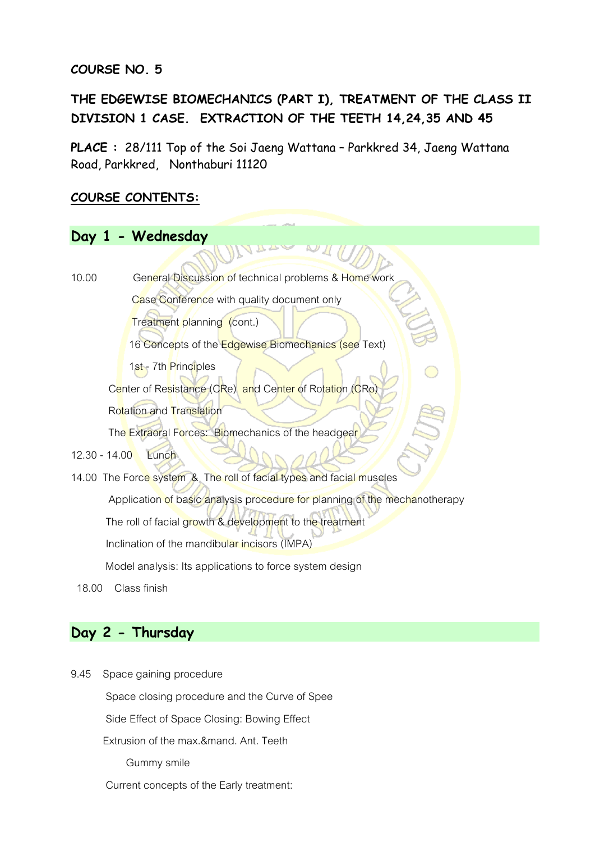# **COURSE NO. 5**

# **THE EDGEWISE BIOMECHANICS (PART I), TREATMENT OF THE CLASS II DIVISION 1 CASE. EXTRACTION OF THE TEETH 14,24,35 AND 45**

**PLACE :** 28/111 Top of the Soi Jaeng Wattana – Parkkred 34, Jaeng Wattana Road, Parkkred, Nonthaburi 11120

# **COURSE CONTENTS:**

# **Day 1 - Wednesday** 10.00 General Discussion of technical problems & Home work Case Conference with quality document only **Treatment planning (cont.)** 16 Concepts of the Edgewise Biomechanics (see Text) 1st - 7th Principles Center of Resistance (CRe) and Center of Rotation (CRo) Rotation and Translation The Extraoral Forces: Biomechanics of the headgear 12.30 - 14.00 Lunch 14.00 The Force system & The roll of facial types and facial muscles Application of basic analysis procedure for planning of the mechanotherapy The roll of facial growth & development to the treatment Inclination of the mandibular incisors (IMPA) Model analysis: Its applications to force system design 18.00 Class finish

# **Day 2 - Thursday**

9.45 Space gaining procedure Space closing procedure and the Curve of Spee Side Effect of Space Closing: Bowing Effect Extrusion of the max.&mand. Ant. Teeth Gummy smile Current concepts of the Early treatment: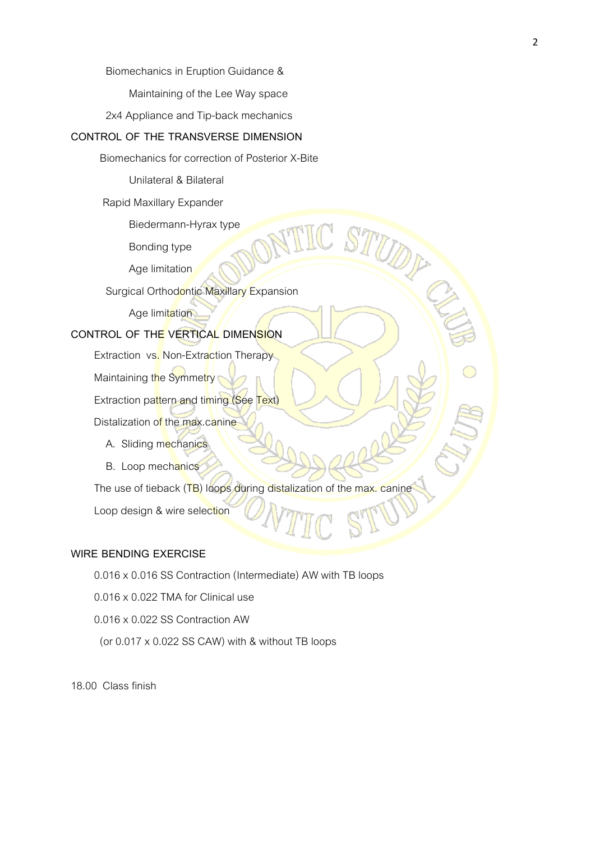Biomechanics in Eruption Guidance &

Maintaining of the Lee Way space

2x4 Appliance and Tip-back mechanics

#### **CONTROL OF THE TRANSVERSE DIMENSION**

Biomechanics for correction of Posterior X-Bite

Unilateral & Bilateral

Rapid Maxillary Expander

Biedermann-Hyrax type

Bonding type

Age limitation

Surgical Orthodontic Maxillary Expansion

Age limitation

#### **CONTROL OF THE VERTICAL DIMENSION**

Extraction vs. Non-Extraction Therapy

Maintaining the Symmetry

Extraction pattern and timing (See Text)

Distalization of the max.canine

- A. Sliding mechanics
- B. Loop mechanics

The use of tieback (TB) loops during distalization of the max. canine

Loop design & wire selection

#### **WIRE BENDING EXERCISE**

0.016 x 0.016 SS Contraction (Intermediate) AW with TB loops

0.016 x 0.022 TMA for Clinical use

0.016 x 0.022 SS Contraction AW

(or 0.017 x 0.022 SS CAW) with & without TB loops

18.00 Class finish

STUDE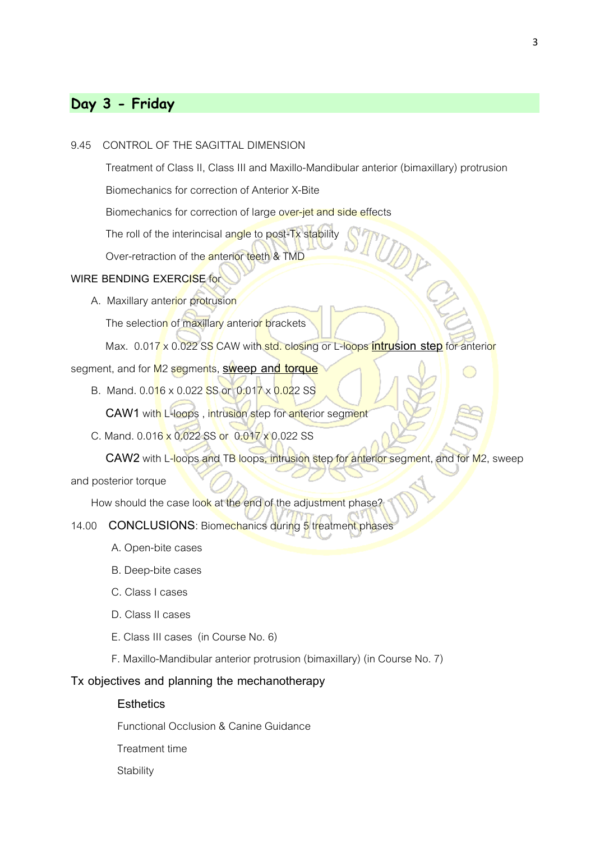# **Day 3 - Friday**

#### 9.45 CONTROL OF THE SAGITTAL DIMENSION

Treatment of Class II, Class III and Maxillo-Mandibular anterior (bimaxillary) protrusion

Biomechanics for correction of Anterior X-Bite

Biomechanics for correction of large over-jet and side effects

The roll of the interincisal angle to post-Tx stability

Over-retraction of the anterior teeth & TMD

## **WIRE BENDING EXERCISE** for

A. Maxillary anterior protrusion

The selection of maxillary anterior brackets

Max. 0.017 x 0.022 SS CAW with std. closing or L-loops **intrusion step**for anterior

segment, and for M2 segments, **sweep and torque**

B. Mand. 0.016 x 0.022 SS or 0.017 x 0.022 SS

**CAW1** with L-loops , intrusion step for anterior segment

C. Mand. 0.016 x 0.022 SS or 0.017 x 0.022 SS

**CAW2** with L-loops and TB loops, intrusion step for anterior segment, and for M2, sweep

and posterior torque

How should the case look at the end of the adjustment phase?

#### 14.00 **CONCLUSIONS**: Biomechanics during 5 treatment phases

- A. Open-bite cases
- B. Deep-bite cases
- C. Class I cases
- D. Class II cases
- E. Class III cases (in Course No. 6)
- F. Maxillo-Mandibular anterior protrusion (bimaxillary) (in Course No. 7)

#### **Tx objectives and planning the mechanotherapy**

**Esthetics**

Functional Occlusion & Canine Guidance

Treatment time

**Stability**